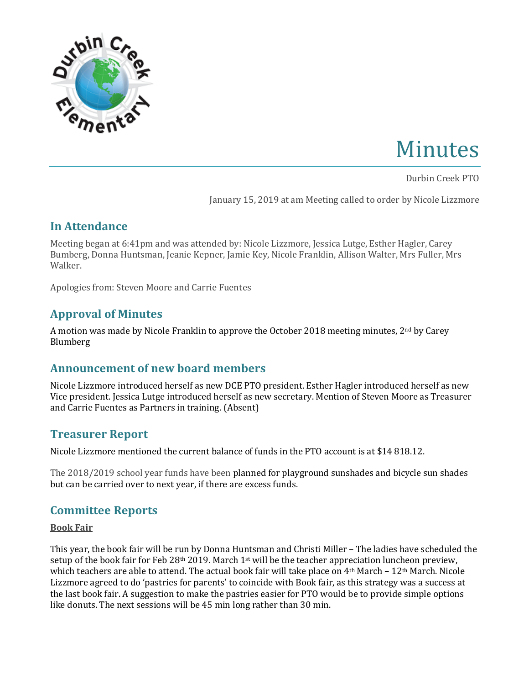

# Minutes

Durbin Creek PTO 

January 15, 2019 at am Meeting called to order by Nicole Lizzmore

## **In Attendance**

Meeting began at 6:41pm and was attended by: Nicole Lizzmore, Jessica Lutge, Esther Hagler, Carey Bumberg, Donna Huntsman, Jeanie Kepner, Jamie Key, Nicole Franklin, Allison Walter, Mrs Fuller, Mrs Walker.

Apologies from: Steven Moore and Carrie Fuentes

# **Approval of Minutes**

A motion was made by Nicole Franklin to approve the October 2018 meeting minutes,  $2<sup>nd</sup>$  by Carey Blumberg

## Announcement of new board members

Nicole Lizzmore introduced herself as new DCE PTO president. Esther Hagler introduced herself as new Vice president. Jessica Lutge introduced herself as new secretary. Mention of Steven Moore as Treasurer and Carrie Fuentes as Partners in training. (Absent)

## **Treasurer Report**

Nicole Lizzmore mentioned the current balance of funds in the PTO account is at \$14 818.12.

The 2018/2019 school year funds have been planned for playground sunshades and bicycle sun shades but can be carried over to next year, if there are excess funds.

# **Committee Reports**

#### **Book Fair**

This year, the book fair will be run by Donna Huntsman and Christi Miller – The ladies have scheduled the setup of the book fair for Feb 28<sup>th</sup> 2019. March 1<sup>st</sup> will be the teacher appreciation luncheon preview, which teachers are able to attend. The actual book fair will take place on  $4<sup>th</sup> March - 12<sup>th</sup> March$ . Nicole Lizzmore agreed to do 'pastries for parents' to coincide with Book fair, as this strategy was a success at the last book fair. A suggestion to make the pastries easier for PTO would be to provide simple options like donuts. The next sessions will be 45 min long rather than 30 min.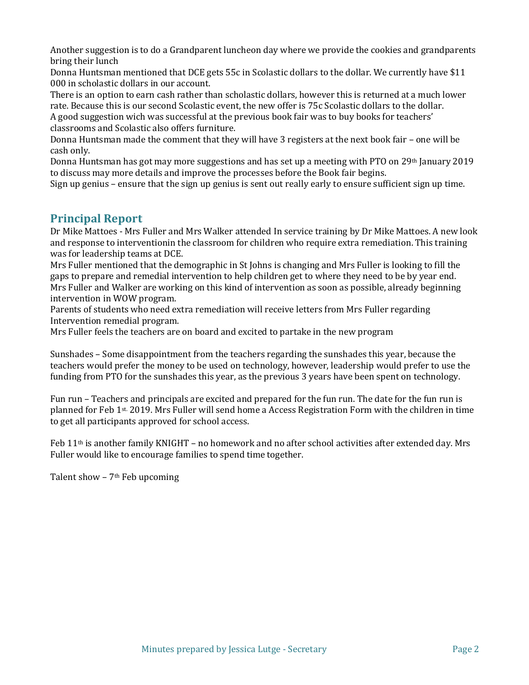Another suggestion is to do a Grandparent luncheon day where we provide the cookies and grandparents bring their lunch

Donna Huntsman mentioned that DCE gets 55c in Scolastic dollars to the dollar. We currently have \$11 000 in scholastic dollars in our account.

There is an option to earn cash rather than scholastic dollars, however this is returned at a much lower rate. Because this is our second Scolastic event, the new offer is 75c Scolastic dollars to the dollar.

A good suggestion wich was successful at the previous book fair was to buy books for teachers' classrooms and Scolastic also offers furniture.

Donna Huntsman made the comment that they will have 3 registers at the next book fair - one will be cash only.

Donna Huntsman has got may more suggestions and has set up a meeting with PTO on 29th January 2019 to discuss may more details and improve the processes before the Book fair begins.

Sign up genius – ensure that the sign up genius is sent out really early to ensure sufficient sign up time.

### **Principal Report**

Dr Mike Mattoes - Mrs Fuller and Mrs Walker attended In service training by Dr Mike Mattoes. A new look and response to interventionin the classroom for children who require extra remediation. This training was for leadership teams at DCE.

Mrs Fuller mentioned that the demographic in St Johns is changing and Mrs Fuller is looking to fill the gaps to prepare and remedial intervention to help children get to where they need to be by year end. Mrs Fuller and Walker are working on this kind of intervention as soon as possible, already beginning intervention in WOW program.

Parents of students who need extra remediation will receive letters from Mrs Fuller regarding Intervention remedial program.

Mrs Fuller feels the teachers are on board and excited to partake in the new program

Sunshades – Some disappointment from the teachers regarding the sunshades this year, because the teachers would prefer the money to be used on technology, however, leadership would prefer to use the funding from PTO for the sunshades this year, as the previous 3 years have been spent on technology.

Fun run – Teachers and principals are excited and prepared for the fun run. The date for the fun run is planned for Feb 1<sup>st.</sup> 2019. Mrs Fuller will send home a Access Registration Form with the children in time to get all participants approved for school access.

Feb  $11<sup>th</sup>$  is another family KNIGHT – no homework and no after school activities after extended day. Mrs Fuller would like to encourage families to spend time together.

Talent show  $-7$ <sup>th</sup> Feb upcoming